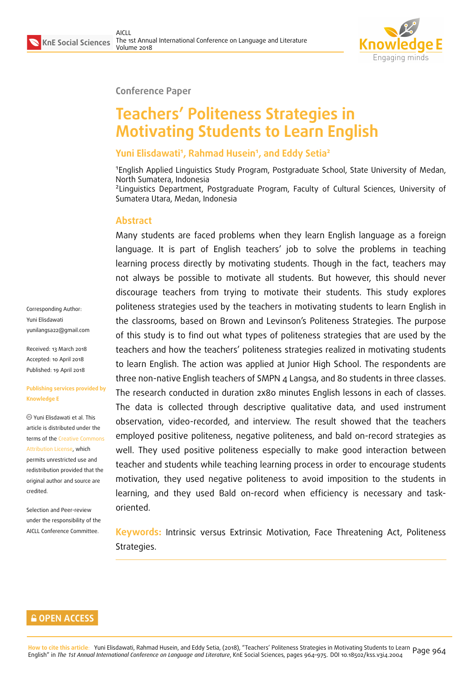

#### **Conference Paper**

# **Teachers' Politeness Strategies in Motivating Students to Learn English**

#### **Yuni Elisdawati<sup>1</sup> , Rahmad Husein<sup>1</sup> , and Eddy Setia<sup>2</sup>**

<sup>1</sup>English Applied Linguistics Study Program, Postgraduate School, State University of Medan, North Sumatera, Indonesia

<sup>2</sup>Linguistics Department, Postgraduate Program, Faculty of Cultural Sciences, University of Sumatera Utara, Medan, Indonesia

#### **Abstract**

Many students are faced problems when they learn English language as a foreign language. It is part of English teachers' job to solve the problems in teaching learning process directly by motivating students. Though in the fact, teachers may not always be possible to motivate all students. But however, this should never discourage teachers from trying to motivate their students. This study explores politeness strategies used by the teachers in motivating students to learn English in the classrooms, based on Brown and Levinson's Politeness Strategies. The purpose of this study is to find out what types of politeness strategies that are used by the teachers and how the teachers' politeness strategies realized in motivating students to learn English. The action was applied at Junior High School. The respondents are three non-native English teachers of SMPN 4 Langsa, and 80 students in three classes. The research conducted in duration 2x80 minutes English lessons in each of classes. The data is collected through descriptive qualitative data, and used instrument observation, video-recorded, and interview. The result showed that the teachers employed positive politeness, negative politeness, and bald on-record strategies as well. They used positive politeness especially to make good interaction between teacher and students while teaching learning process in order to encourage students motivation, they used negative politeness to avoid imposition to the students in learning, and they used Bald on-record when efficiency is necessary and taskoriented.

**Keywords:** Intrinsic versus Extrinsic Motivation, Face Threatening Act, Politeness Strategies.

Corresponding Author: Yuni Elisdawati yunilangsa22@gmail.com

Received: 13 March 2018 Accepted: 10 April 2018 [Published: 19 April 2018](mailto:yunilangsa22@gmail.com)

#### **Publishing services provided by Knowledge E**

Yuni Elisdawati et al. This article is distributed under the terms of the Creative Commons Attribution License, which permits unrestricted use and redistribution provided that the original auth[or and source are](https://creativecommons.org/licenses/by/4.0/) [credited.](https://creativecommons.org/licenses/by/4.0/)

Selection and Peer-review under the responsibility of the AICLL Conference Committee.

#### **GOPEN ACCESS**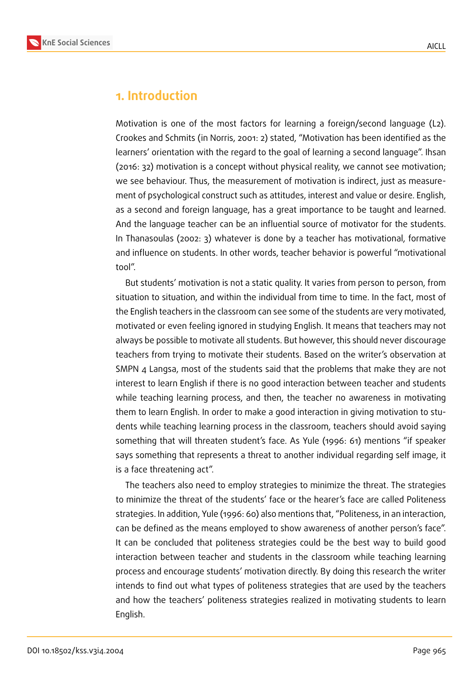

## **1. Introduction**

Motivation is one of the most factors for learning a foreign/second language (L2). Crookes and Schmits (in Norris, 2001: 2) stated, "Motivation has been identified as the learners' orientation with the regard to the goal of learning a second language". Ihsan (2016: 32) motivation is a concept without physical reality, we cannot see motivation; we see behaviour. Thus, the measurement of motivation is indirect, just as measurement of psychological construct such as attitudes, interest and value or desire. English, as a second and foreign language, has a great importance to be taught and learned. And the language teacher can be an influential source of motivator for the students. In Thanasoulas (2002: 3) whatever is done by a teacher has motivational, formative and influence on students. In other words, teacher behavior is powerful "motivational tool".

But students' motivation is not a static quality. It varies from person to person, from situation to situation, and within the individual from time to time. In the fact, most of the English teachers in the classroom can see some of the students are very motivated, motivated or even feeling ignored in studying English. It means that teachers may not always be possible to motivate all students. But however, this should never discourage teachers from trying to motivate their students. Based on the writer's observation at SMPN 4 Langsa, most of the students said that the problems that make they are not interest to learn English if there is no good interaction between teacher and students while teaching learning process, and then, the teacher no awareness in motivating them to learn English. In order to make a good interaction in giving motivation to students while teaching learning process in the classroom, teachers should avoid saying something that will threaten student's face. As Yule (1996: 61) mentions "if speaker says something that represents a threat to another individual regarding self image, it is a face threatening act".

The teachers also need to employ strategies to minimize the threat. The strategies to minimize the threat of the students' face or the hearer's face are called Politeness strategies. In addition, Yule (1996: 60) also mentions that, "Politeness, in an interaction, can be defined as the means employed to show awareness of another person's face". It can be concluded that politeness strategies could be the best way to build good interaction between teacher and students in the classroom while teaching learning process and encourage students' motivation directly. By doing this research the writer intends to find out what types of politeness strategies that are used by the teachers and how the teachers' politeness strategies realized in motivating students to learn English.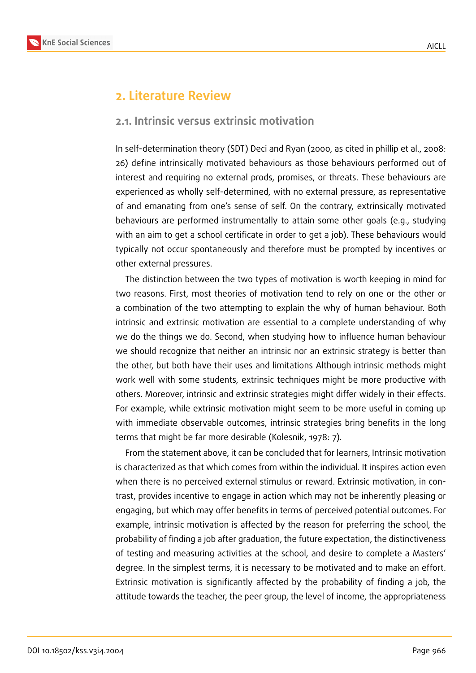

# **2. Literature Review**

#### **2.1. Intrinsic versus extrinsic motivation**

In self-determination theory (SDT) Deci and Ryan (2000, as cited in phillip et al., 2008: 26) define intrinsically motivated behaviours as those behaviours performed out of interest and requiring no external prods, promises, or threats. These behaviours are experienced as wholly self-determined, with no external pressure, as representative of and emanating from one's sense of self. On the contrary, extrinsically motivated behaviours are performed instrumentally to attain some other goals (e.g., studying with an aim to get a school certificate in order to get a job). These behaviours would typically not occur spontaneously and therefore must be prompted by incentives or other external pressures.

The distinction between the two types of motivation is worth keeping in mind for two reasons. First, most theories of motivation tend to rely on one or the other or a combination of the two attempting to explain the why of human behaviour. Both intrinsic and extrinsic motivation are essential to a complete understanding of why we do the things we do. Second, when studying how to influence human behaviour we should recognize that neither an intrinsic nor an extrinsic strategy is better than the other, but both have their uses and limitations Although intrinsic methods might work well with some students, extrinsic techniques might be more productive with others. Moreover, intrinsic and extrinsic strategies might differ widely in their effects. For example, while extrinsic motivation might seem to be more useful in coming up with immediate observable outcomes, intrinsic strategies bring benefits in the long terms that might be far more desirable (Kolesnik, 1978: 7).

From the statement above, it can be concluded that for learners, Intrinsic motivation is characterized as that which comes from within the individual. It inspires action even when there is no perceived external stimulus or reward. Extrinsic motivation, in contrast, provides incentive to engage in action which may not be inherently pleasing or engaging, but which may offer benefits in terms of perceived potential outcomes. For example, intrinsic motivation is affected by the reason for preferring the school, the probability of finding a job after graduation, the future expectation, the distinctiveness of testing and measuring activities at the school, and desire to complete a Masters' degree. In the simplest terms, it is necessary to be motivated and to make an effort. Extrinsic motivation is significantly affected by the probability of finding a job, the attitude towards the teacher, the peer group, the level of income, the appropriateness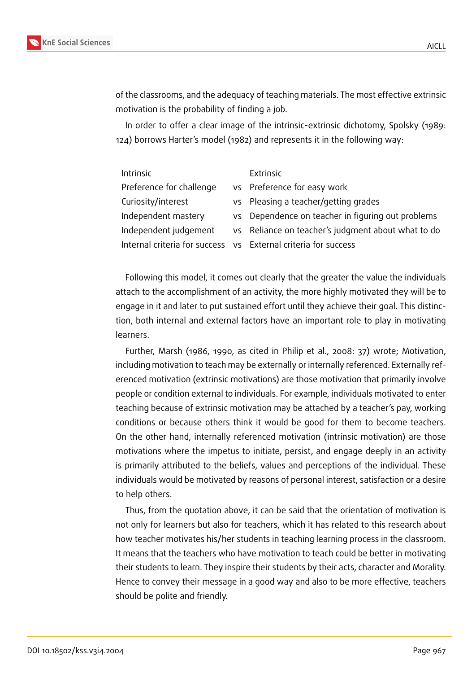

of the classrooms, and the adequacy of teaching materials. The most effective extrinsic motivation is the probability of finding a job.

In order to offer a clear image of the intrinsic-extrinsic dichotomy, Spolsky (1989: 124) borrows Harter's model (1982) and represents it in the following way:

| <b>Intrinsic</b>         | Extrinsic                                                      |
|--------------------------|----------------------------------------------------------------|
| Preference for challenge | vs Preference for easy work                                    |
| Curiosity/interest       | vs Pleasing a teacher/getting grades                           |
| Independent mastery      | vs Dependence on teacher in figuring out problems              |
| Independent judgement    | vs Reliance on teacher's judgment about what to do             |
|                          | Internal criteria for success vs External criteria for success |
|                          |                                                                |

Following this model, it comes out clearly that the greater the value the individuals attach to the accomplishment of an activity, the more highly motivated they will be to engage in it and later to put sustained effort until they achieve their goal. This distinction, both internal and external factors have an important role to play in motivating learners.

Further, Marsh (1986, 1990, as cited in Philip et al., 2008: 37) wrote; Motivation, including motivation to teach may be externally or internally referenced. Externally referenced motivation (extrinsic motivations) are those motivation that primarily involve people or condition external to individuals. For example, individuals motivated to enter teaching because of extrinsic motivation may be attached by a teacher's pay, working conditions or because others think it would be good for them to become teachers. On the other hand, internally referenced motivation (intrinsic motivation) are those motivations where the impetus to initiate, persist, and engage deeply in an activity is primarily attributed to the beliefs, values and perceptions of the individual. These individuals would be motivated by reasons of personal interest, satisfaction or a desire to help others.

Thus, from the quotation above, it can be said that the orientation of motivation is not only for learners but also for teachers, which it has related to this research about how teacher motivates his/her students in teaching learning process in the classroom. It means that the teachers who have motivation to teach could be better in motivating their students to learn. They inspire their students by their acts, character and Morality. Hence to convey their message in a good way and also to be more effective, teachers should be polite and friendly.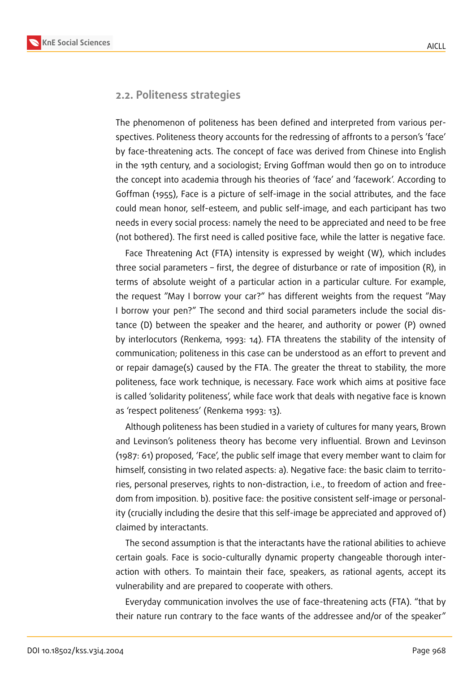

#### **2.2. Politeness strategies**

The phenomenon of politeness has been defined and interpreted from various perspectives. Politeness theory accounts for the redressing of affronts to a person's 'face' by face-threatening acts. The concept of face was derived from Chinese into English in the 19th century, and a sociologist; Erving Goffman would then go on to introduce the concept into academia through his theories of 'face' and 'facework'. According to Goffman (1955), Face is a picture of self-image in the social attributes, and the face could mean honor, self-esteem, and public self-image, and each participant has two needs in every social process: namely the need to be appreciated and need to be free (not bothered). The first need is called positive face, while the latter is negative face.

Face Threatening Act (FTA) intensity is expressed by weight (W), which includes three social parameters – first, the degree of disturbance or rate of imposition (R), in terms of absolute weight of a particular action in a particular culture. For example, the request "May I borrow your car?" has different weights from the request "May I borrow your pen?" The second and third social parameters include the social distance (D) between the speaker and the hearer, and authority or power (P) owned by interlocutors (Renkema, 1993: 14). FTA threatens the stability of the intensity of communication; politeness in this case can be understood as an effort to prevent and or repair damage(s) caused by the FTA. The greater the threat to stability, the more politeness, face work technique, is necessary. Face work which aims at positive face is called 'solidarity politeness', while face work that deals with negative face is known as 'respect politeness' (Renkema 1993: 13).

Although politeness has been studied in a variety of cultures for many years, Brown and Levinson's politeness theory has become very influential. Brown and Levinson (1987: 61) proposed, 'Face', the public self image that every member want to claim for himself, consisting in two related aspects: a). Negative face: the basic claim to territories, personal preserves, rights to non-distraction, i.e., to freedom of action and freedom from imposition. b). positive face: the positive consistent self-image or personality (crucially including the desire that this self-image be appreciated and approved of) claimed by interactants.

The second assumption is that the interactants have the rational abilities to achieve certain goals. Face is socio-culturally dynamic property changeable thorough interaction with others. To maintain their face, speakers, as rational agents, accept its vulnerability and are prepared to cooperate with others.

Everyday communication involves the use of face-threatening acts (FTA). "that by their nature run contrary to the face wants of the addressee and/or of the speaker"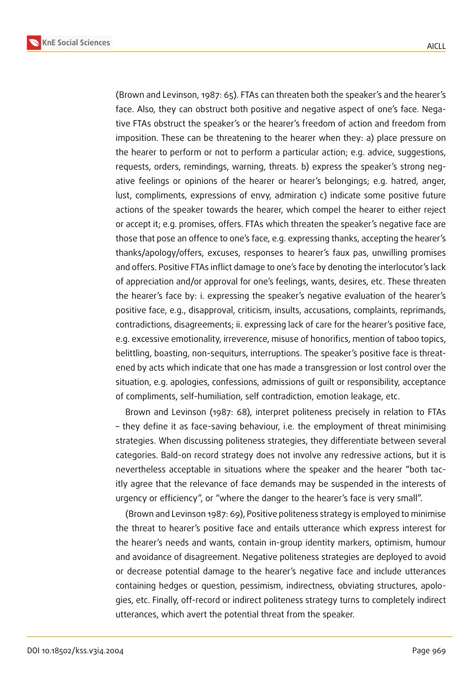

(Brown and Levinson, 1987: 65). FTAs can threaten both the speaker's and the hearer's face. Also, they can obstruct both positive and negative aspect of one's face. Negative FTAs obstruct the speaker's or the hearer's freedom of action and freedom from imposition. These can be threatening to the hearer when they: a) place pressure on the hearer to perform or not to perform a particular action; e.g. advice, suggestions, requests, orders, remindings, warning, threats. b) express the speaker's strong negative feelings or opinions of the hearer or hearer's belongings; e.g. hatred, anger, lust, compliments, expressions of envy, admiration c) indicate some positive future actions of the speaker towards the hearer, which compel the hearer to either reject or accept it; e.g. promises, offers. FTAs which threaten the speaker's negative face are those that pose an offence to one's face, e.g. expressing thanks, accepting the hearer's thanks/apology/offers, excuses, responses to hearer's faux pas, unwilling promises and offers. Positive FTAs inflict damage to one's face by denoting the interlocutor's lack of appreciation and/or approval for one's feelings, wants, desires, etc. These threaten the hearer's face by: i. expressing the speaker's negative evaluation of the hearer's positive face, e.g., disapproval, criticism, insults, accusations, complaints, reprimands, contradictions, disagreements; ii. expressing lack of care for the hearer's positive face, e.g. excessive emotionality, irreverence, misuse of honorifics, mention of taboo topics, belittling, boasting, non-sequiturs, interruptions. The speaker's positive face is threatened by acts which indicate that one has made a transgression or lost control over the situation, e.g. apologies, confessions, admissions of guilt or responsibility, acceptance of compliments, self-humiliation, self contradiction, emotion leakage, etc.

Brown and Levinson (1987: 68), interpret politeness precisely in relation to FTAs – they define it as face-saving behaviour, i.e. the employment of threat minimising strategies. When discussing politeness strategies, they differentiate between several categories. Bald-on record strategy does not involve any redressive actions, but it is nevertheless acceptable in situations where the speaker and the hearer "both tacitly agree that the relevance of face demands may be suspended in the interests of urgency or efficiency", or "where the danger to the hearer's face is very small".

(Brown and Levinson 1987: 69), Positive politeness strategy is employed to minimise the threat to hearer's positive face and entails utterance which express interest for the hearer's needs and wants, contain in-group identity markers, optimism, humour and avoidance of disagreement. Negative politeness strategies are deployed to avoid or decrease potential damage to the hearer's negative face and include utterances containing hedges or question, pessimism, indirectness, obviating structures, apologies, etc. Finally, off-record or indirect politeness strategy turns to completely indirect utterances, which avert the potential threat from the speaker.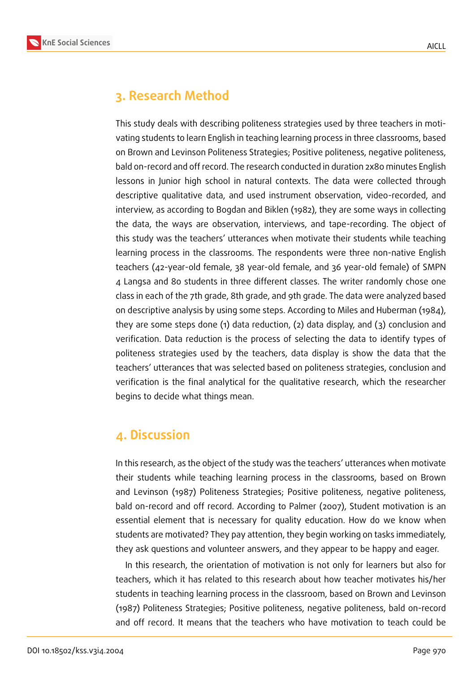

### **3. Research Method**

This study deals with describing politeness strategies used by three teachers in motivating students to learn English in teaching learning process in three classrooms, based on Brown and Levinson Politeness Strategies; Positive politeness, negative politeness, bald on-record and off record. The research conducted in duration 2x80 minutes English lessons in Junior high school in natural contexts. The data were collected through descriptive qualitative data, and used instrument observation, video-recorded, and interview, as according to Bogdan and Biklen (1982), they are some ways in collecting the data, the ways are observation, interviews, and tape-recording. The object of this study was the teachers' utterances when motivate their students while teaching learning process in the classrooms. The respondents were three non-native English teachers (42-year-old female, 38 year-old female, and 36 year-old female) of SMPN 4 Langsa and 80 students in three different classes. The writer randomly chose one class in each of the 7th grade, 8th grade, and 9th grade. The data were analyzed based on descriptive analysis by using some steps. According to Miles and Huberman (1984), they are some steps done (1) data reduction, (2) data display, and (3) conclusion and verification. Data reduction is the process of selecting the data to identify types of politeness strategies used by the teachers, data display is show the data that the teachers' utterances that was selected based on politeness strategies, conclusion and verification is the final analytical for the qualitative research, which the researcher begins to decide what things mean.

### **4. Discussion**

In this research, as the object of the study was the teachers' utterances when motivate their students while teaching learning process in the classrooms, based on Brown and Levinson (1987) Politeness Strategies; Positive politeness, negative politeness, bald on-record and off record. According to Palmer (2007), Student motivation is an essential element that is necessary for quality education. How do we know when students are motivated? They pay attention, they begin working on tasks immediately, they ask questions and volunteer answers, and they appear to be happy and eager.

In this research, the orientation of motivation is not only for learners but also for teachers, which it has related to this research about how teacher motivates his/her students in teaching learning process in the classroom, based on Brown and Levinson (1987) Politeness Strategies; Positive politeness, negative politeness, bald on-record and off record. It means that the teachers who have motivation to teach could be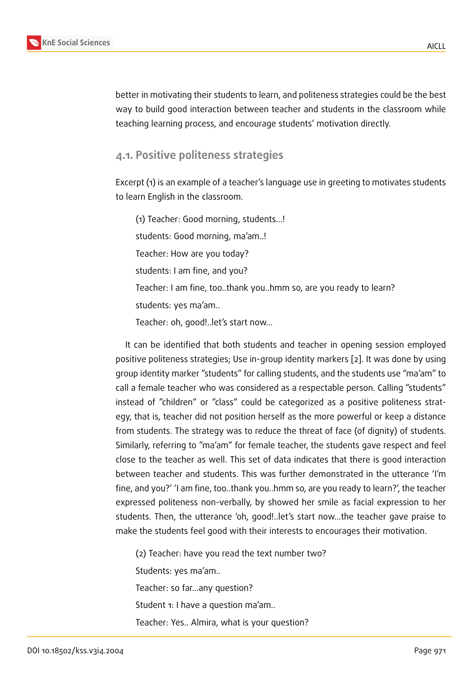better in motivating their students to learn, and politeness strategies could be the best way to build good interaction between teacher and students in the classroom while teaching learning process, and encourage students' motivation directly.

### **4.1. Positive politeness strategies**

Excerpt (1) is an example of a teacher's language use in greeting to motivates students to learn English in the classroom.

(1) Teacher: Good morning, students...! students: Good morning, ma'am..! Teacher: How are you today? students: I am fine, and you? Teacher: I am fine, too..thank you..hmm so, are you ready to learn? students: yes ma'am.. Teacher: oh, good!..let's start now...

It can be identified that both students and teacher in opening session employed positive politeness strategies; Use in-group identity markers [2]. It was done by using group identity marker "students" for calling students, and the students use "ma'am" to call a female teacher who was considered as a respectable person. Calling "students" instead of "children" or "class" could be categorized as a p[os](#page-10-0)itive politeness strategy, that is, teacher did not position herself as the more powerful or keep a distance from students. The strategy was to reduce the threat of face (of dignity) of students. Similarly, referring to "ma'am" for female teacher, the students gave respect and feel close to the teacher as well. This set of data indicates that there is good interaction between teacher and students. This was further demonstrated in the utterance 'I'm fine, and you?' 'I am fine, too..thank you..hmm so, are you ready to learn?', the teacher expressed politeness non-verbally, by showed her smile as facial expression to her students. Then, the utterance 'oh, good!..let's start now...the teacher gave praise to make the students feel good with their interests to encourages their motivation.

(2) Teacher: have you read the text number two?

Students: yes ma'am..

Teacher: so far...any question?

Student 1: I have a question ma'am..

Teacher: Yes.. Almira, what is your question?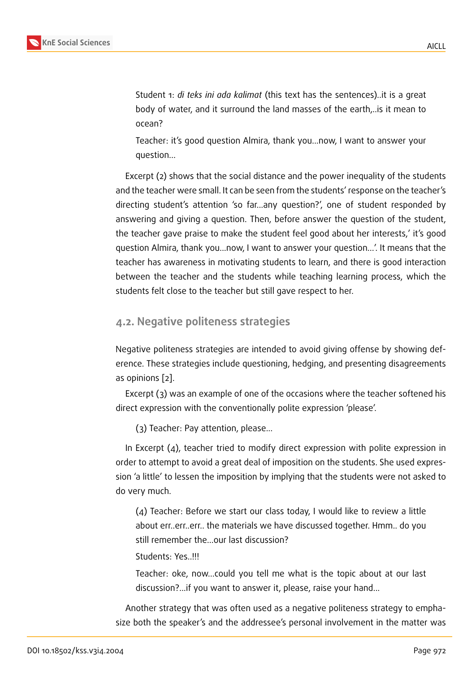Student 1: *di teks ini ada kalimat* (this text has the sentences)..it is a great body of water, and it surround the land masses of the earth,..is it mean to ocean?

Teacher: it's good question Almira, thank you...now, I want to answer your question...

Excerpt (2) shows that the social distance and the power inequality of the students and the teacher were small. It can be seen from the students' response on the teacher's directing student's attention 'so far...any question?', one of student responded by answering and giving a question. Then, before answer the question of the student, the teacher gave praise to make the student feel good about her interests,' it's good question Almira, thank you...now, I want to answer your question...'. It means that the teacher has awareness in motivating students to learn, and there is good interaction between the teacher and the students while teaching learning process, which the students felt close to the teacher but still gave respect to her.

#### **4.2. Negative politeness strategies**

Negative politeness strategies are intended to avoid giving offense by showing deference. These strategies include questioning, hedging, and presenting disagreements as opinions [2].

Excerpt (3) was an example of one of the occasions where the teacher softened his direct expre[ss](#page-10-0)ion with the conventionally polite expression 'please'.

(3) Teacher: Pay attention, please...

In Excerpt (4), teacher tried to modify direct expression with polite expression in order to attempt to avoid a great deal of imposition on the students. She used expression 'a little' to lessen the imposition by implying that the students were not asked to do very much.

(4) Teacher: Before we start our class today, I would like to review a little about err..err..err.. the materials we have discussed together. Hmm.. do you still remember the…our last discussion?

Students: Yes..!!!

Teacher: oke, now...could you tell me what is the topic about at our last discussion?...if you want to answer it, please, raise your hand...

Another strategy that was often used as a negative politeness strategy to emphasize both the speaker's and the addressee's personal involvement in the matter was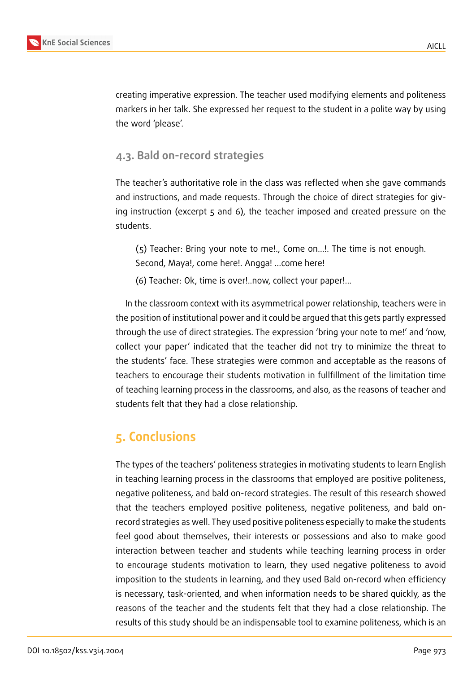

creating imperative expression. The teacher used modifying elements and politeness markers in her talk. She expressed her request to the student in a polite way by using the word 'please'.

### **4.3. Bald on-record strategies**

The teacher's authoritative role in the class was reflected when she gave commands and instructions, and made requests. Through the choice of direct strategies for giving instruction (excerpt 5 and 6), the teacher imposed and created pressure on the students.

(5) Teacher: Bring your note to me!., Come on…!. The time is not enough. Second, Maya!, come here!. Angga! …come here!

(6) Teacher: Ok, time is over!..now, collect your paper!...

In the classroom context with its asymmetrical power relationship, teachers were in the position of institutional power and it could be argued that this gets partly expressed through the use of direct strategies. The expression 'bring your note to me!' and 'now, collect your paper' indicated that the teacher did not try to minimize the threat to the students' face. These strategies were common and acceptable as the reasons of teachers to encourage their students motivation in fullfillment of the limitation time of teaching learning process in the classrooms, and also, as the reasons of teacher and students felt that they had a close relationship.

# **5. Conclusions**

The types of the teachers' politeness strategies in motivating students to learn English in teaching learning process in the classrooms that employed are positive politeness, negative politeness, and bald on-record strategies. The result of this research showed that the teachers employed positive politeness, negative politeness, and bald onrecord strategies as well. They used positive politeness especially to make the students feel good about themselves, their interests or possessions and also to make good interaction between teacher and students while teaching learning process in order to encourage students motivation to learn, they used negative politeness to avoid imposition to the students in learning, and they used Bald on-record when efficiency is necessary, task-oriented, and when information needs to be shared quickly, as the reasons of the teacher and the students felt that they had a close relationship. The results of this study should be an indispensable tool to examine politeness, which is an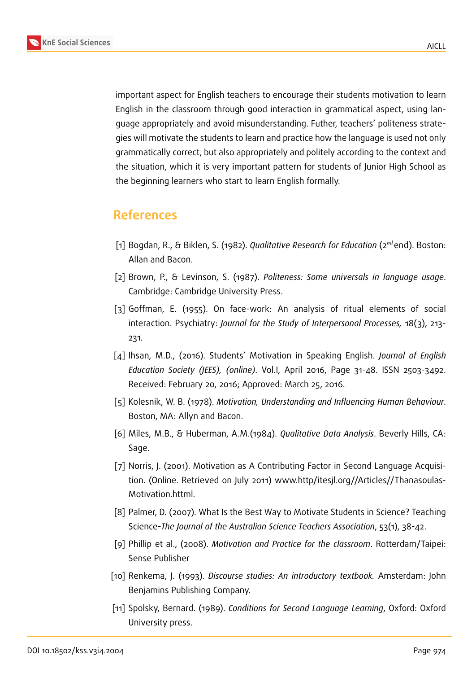



important aspect for English teachers to encourage their students motivation to learn English in the classroom through good interaction in grammatical aspect, using language appropriately and avoid misunderstanding. Futher, teachers' politeness strategies will motivate the students to learn and practice how the language is used not only grammatically correct, but also appropriately and politely according to the context and the situation, which it is very important pattern for students of Junior High School as the beginning learners who start to learn English formally.

## **References**

- [1] Bogdan, R., & Biklen, S. (1982). *Qualitative Research for Education* (2<sup>nd</sup>end). Boston: Allan and Bacon.
- <span id="page-10-0"></span>[2] Brown, P., & Levinson, S. (1987). *Politeness: Some universals in language usage*. Cambridge: Cambridge University Press.
- [3] Goffman, E. (1955). On face-work: An analysis of ritual elements of social interaction. Psychiatry: *Journal for the Study of Interpersonal Processes,* 18(3), 213- 231.
- [4] Ihsan, M.D., (2016). Students' Motivation in Speaking English. *Journal of English Education Society (JEES), (online)*. Vol.I, April 2016, Page 31-48. ISSN 2503-3492. Received: February 20, 2016; Approved: March 25, 2016.
- [5] Kolesnik, W. B. (1978). *Motivation, Understanding and Influencing Human Behaviour*. Boston, MA: Allyn and Bacon.
- [6] Miles, M.B., & Huberman, A.M.(1984). *Qualitative Data Analysis*. Beverly Hills, CA: Sage.
- [7] Norris, J. (2001). Motivation as A Contributing Factor in Second Language Acquisition. (Online. Retrieved on July 2011) www.http/itesjl.org//Articles//Thanasoulas-Motivation.httml.
- [8] Palmer, D. (2007). What Is the Best Way to Motivate Students in Science? Teaching Science-*The Journal of the Australian Science Teachers Association*, 53(1), 38-42.
- [9] Phillip et al., (2008). *Motivation and Practice for the classroom*. Rotterdam/Taipei: Sense Publisher
- [10] Renkema, J. (1993). *Discourse studies: An introductory textbook.* Amsterdam: John Benjamins Publishing Company.
- [11] Spolsky, Bernard. (1989). *Conditions for Second Language Learning*, Oxford: Oxford University press.